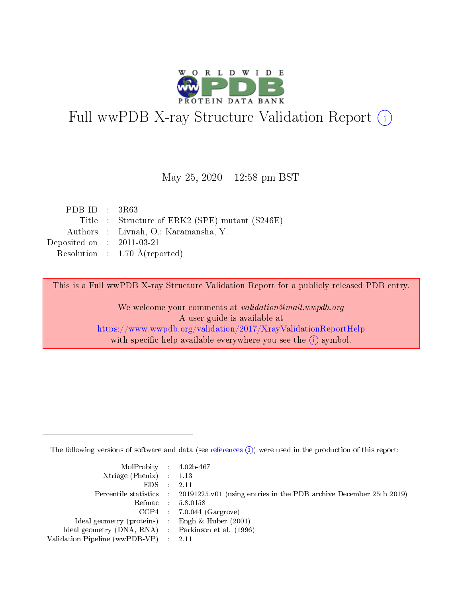

# Full wwPDB X-ray Structure Validation Report (i)

#### May 25,  $2020 - 12:58$  pm BST

| PDB ID : $3R63$                                |
|------------------------------------------------|
| Title : Structure of ERK2 (SPE) mutant (S246E) |
| Authors : Livnah, O.; Karamansha, Y.           |
| Deposited on : $2011-03-21$                    |
| Resolution : $1.70 \text{ Å}$ (reported)       |
|                                                |

This is a Full wwPDB X-ray Structure Validation Report for a publicly released PDB entry.

We welcome your comments at validation@mail.wwpdb.org A user guide is available at <https://www.wwpdb.org/validation/2017/XrayValidationReportHelp> with specific help available everywhere you see the  $(i)$  symbol.

The following versions of software and data (see [references](https://www.wwpdb.org/validation/2017/XrayValidationReportHelp#references)  $(i)$ ) were used in the production of this report:

| MolProbity : 4.02b-467                              |                                                                                                    |
|-----------------------------------------------------|----------------------------------------------------------------------------------------------------|
| Xtriage (Phenix) $: 1.13$                           |                                                                                                    |
| $EDS = 2.11$                                        |                                                                                                    |
|                                                     | Percentile statistics : $20191225 \times 01$ (using entries in the PDB archive December 25th 2019) |
|                                                     | Refmac : 5.8.0158                                                                                  |
|                                                     | $CCP4$ 7.0.044 (Gargrove)                                                                          |
| Ideal geometry (proteins) : Engh $\&$ Huber (2001)  |                                                                                                    |
| Ideal geometry (DNA, RNA) : Parkinson et al. (1996) |                                                                                                    |
| Validation Pipeline (wwPDB-VP) : 2.11               |                                                                                                    |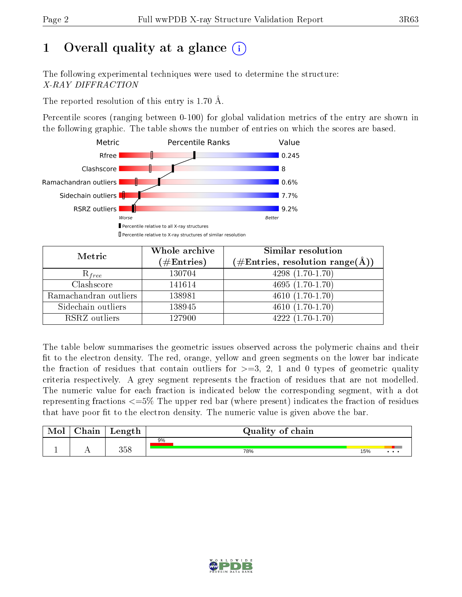## 1 [O](https://www.wwpdb.org/validation/2017/XrayValidationReportHelp#overall_quality)verall quality at a glance  $(i)$

The following experimental techniques were used to determine the structure: X-RAY DIFFRACTION

The reported resolution of this entry is 1.70 Å.

Percentile scores (ranging between 0-100) for global validation metrics of the entry are shown in the following graphic. The table shows the number of entries on which the scores are based.



| Metric                | Whole archive<br>$(\#\mathrm{Entries})$ | Similar resolution<br>$(\#\text{Entries},\,\text{resolution}\,\,\text{range}(\textup{\AA}))$ |
|-----------------------|-----------------------------------------|----------------------------------------------------------------------------------------------|
| $R_{free}$            | 130704                                  | $4298(1.70-1.70)$                                                                            |
| Clashscore            | 141614                                  | $4695(1.70-1.70)$                                                                            |
| Ramachandran outliers | 138981                                  | $4610(1.70-1.70)$                                                                            |
| Sidechain outliers    | 138945                                  | $4610(1.70-1.70)$                                                                            |
| RSRZ outliers         | 127900                                  | $4222(1.70-1.70)$                                                                            |

The table below summarises the geometric issues observed across the polymeric chains and their fit to the electron density. The red, orange, yellow and green segments on the lower bar indicate the fraction of residues that contain outliers for  $>=3, 2, 1$  and 0 types of geometric quality criteria respectively. A grey segment represents the fraction of residues that are not modelled. The numeric value for each fraction is indicated below the corresponding segment, with a dot representing fractions <=5% The upper red bar (where present) indicates the fraction of residues that have poor fit to the electron density. The numeric value is given above the bar.

| Mol       | hain       | Length | Quality of chain |     |          |
|-----------|------------|--------|------------------|-----|----------|
|           |            |        | 9%               |     |          |
| <u>д.</u> | <u>. .</u> | 358    | 78%              | 15% | $\cdots$ |

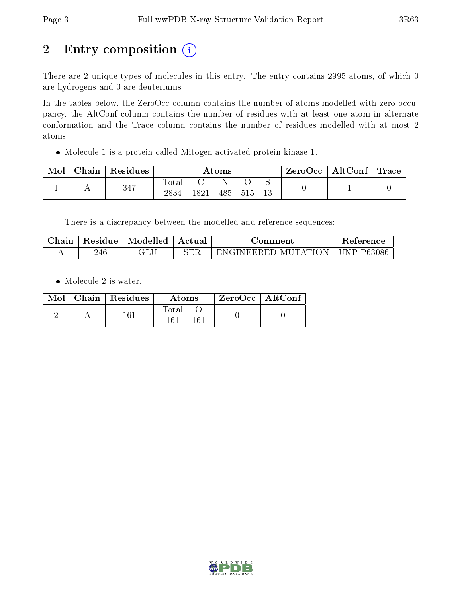## 2 Entry composition (i)

There are 2 unique types of molecules in this entry. The entry contains 2995 atoms, of which 0 are hydrogens and 0 are deuteriums.

In the tables below, the ZeroOcc column contains the number of atoms modelled with zero occupancy, the AltConf column contains the number of residues with at least one atom in alternate conformation and the Trace column contains the number of residues modelled with at most 2 atoms.

Molecule 1 is a protein called Mitogen-activated protein kinase 1.

| Mol | Chain | Residues | $\rm{Atoms}$  |      |     |       |     | $\rm ZeroOcc \mid AltConf \mid Trace$ |  |
|-----|-------|----------|---------------|------|-----|-------|-----|---------------------------------------|--|
|     |       | 347      | Tota.<br>2834 | -821 | 485 | - 515 | -13 |                                       |  |

There is a discrepancy between the modelled and reference sequences:

| ∠hain | Residue | Modelled | Actual        | ⊃omment                                 | Reference     |
|-------|---------|----------|---------------|-----------------------------------------|---------------|
|       | 246     | با بلات  | $_{\rm{SER}}$ | TATIC<br>МI<br>λN<br>'N GLNEERED.<br>н, | P6308t<br>N P |

• Molecule 2 is water.

|  | $Mol$   Chain   Residues | Atoms           | $ZeroOcc$ $\overline{\phantom{a}}$ AltConf |  |
|--|--------------------------|-----------------|--------------------------------------------|--|
|  | 161                      | Total<br>$-167$ |                                            |  |

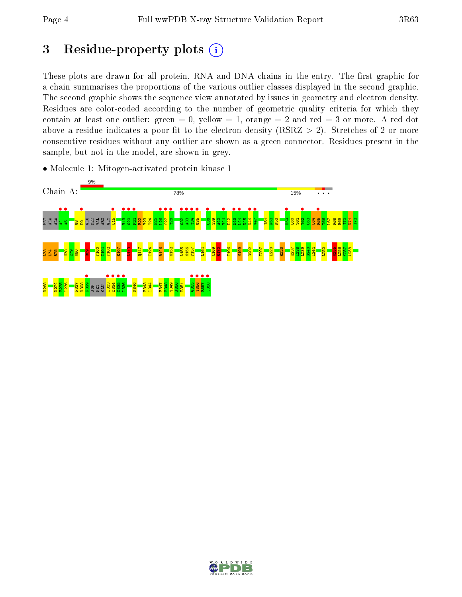## 3 Residue-property plots  $(i)$

These plots are drawn for all protein, RNA and DNA chains in the entry. The first graphic for a chain summarises the proportions of the various outlier classes displayed in the second graphic. The second graphic shows the sequence view annotated by issues in geometry and electron density. Residues are color-coded according to the number of geometric quality criteria for which they contain at least one outlier: green  $= 0$ , yellow  $= 1$ , orange  $= 2$  and red  $= 3$  or more. A red dot above a residue indicates a poor fit to the electron density (RSRZ  $> 2$ ). Stretches of 2 or more consecutive residues without any outlier are shown as a green connector. Residues present in the sample, but not in the model, are shown in grey.

• Molecule 1: Mitogen-activated protein kinase 1



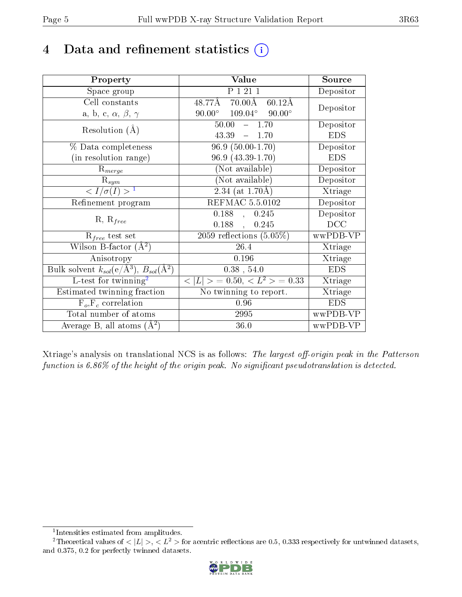## 4 Data and refinement statistics  $(i)$

| Property                                                         | Value                                                    | Source     |
|------------------------------------------------------------------|----------------------------------------------------------|------------|
| Space group                                                      | $\overline{P}$ 1 21 1                                    | Depositor  |
| Cell constants                                                   | $48.77\text{\AA}$ $70.00\text{\AA}$<br>$60.12\text{\AA}$ | Depositor  |
| a, b, c, $\alpha$ , $\beta$ , $\gamma$                           | $90.00^{\circ}$ $109.04^{\circ}$ $90.00^{\circ}$         |            |
| Resolution $(A)$                                                 | 50.00<br>$-1.70$                                         | Depositor  |
|                                                                  | 43.39<br>$-1.70$                                         | <b>EDS</b> |
| % Data completeness                                              | $96.9(50.00-1.70)$                                       | Depositor  |
| (in resolution range)                                            | 96.9 (43.39-1.70)                                        | <b>EDS</b> |
| $R_{merge}$                                                      | (Not available)                                          | Depositor  |
| $\mathrm{R}_{sym}$                                               | (Not available)                                          | Depositor  |
| $\langle I/\sigma(I)\rangle^{-1}$                                | $2.34$ (at 1.70Å)                                        | Xtriage    |
| Refinement program                                               | <b>REFMAC 5.5.0102</b>                                   | Depositor  |
| $R, R_{free}$                                                    | $\overline{0.188}$ ,<br>0.245                            | Depositor  |
|                                                                  | 0.188,<br>0.245                                          | DCC        |
| $R_{free}$ test set                                              | $\overline{2059}$ reflections $(5.05\%)$                 | wwPDB-VP   |
| Wilson B-factor $(A^2)$                                          | 26.4                                                     | Xtriage    |
| Anisotropy                                                       | 0.196                                                    | Xtriage    |
| Bulk solvent $k_{sol}(\text{e}/\text{A}^3), B_{sol}(\text{A}^2)$ | $0.38$ , 54.0                                            | <b>EDS</b> |
| $L$ -test for twinning <sup>2</sup>                              | $< L >$ = 0.50, $< L2$ > = 0.33                          | Xtriage    |
| Estimated twinning fraction                                      | No twinning to report.                                   | Xtriage    |
| $F_o, F_c$ correlation                                           | 0.96                                                     | <b>EDS</b> |
| Total number of atoms                                            | 2995                                                     | wwPDB-VP   |
| Average B, all atoms $(A^2)$                                     | 36.0                                                     | wwPDB-VP   |

Xtriage's analysis on translational NCS is as follows: The largest off-origin peak in the Patterson function is  $6.86\%$  of the height of the origin peak. No significant pseudotranslation is detected.

<sup>&</sup>lt;sup>2</sup>Theoretical values of  $\langle |L| \rangle$ ,  $\langle L^2 \rangle$  for acentric reflections are 0.5, 0.333 respectively for untwinned datasets, and 0.375, 0.2 for perfectly twinned datasets.



<span id="page-4-1"></span><span id="page-4-0"></span><sup>1</sup> Intensities estimated from amplitudes.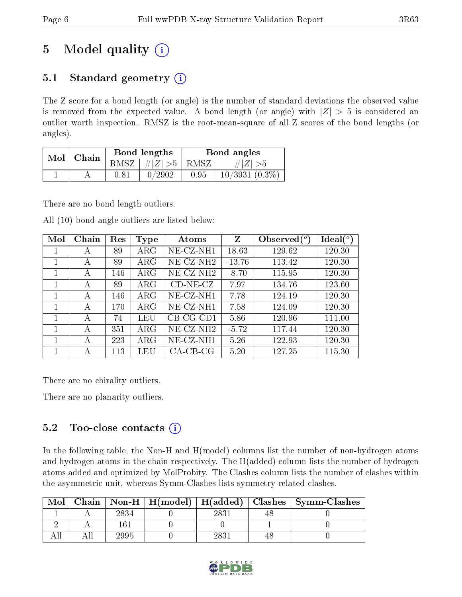## 5 Model quality  $(i)$

### 5.1 Standard geometry  $(i)$

The Z score for a bond length (or angle) is the number of standard deviations the observed value is removed from the expected value. A bond length (or angle) with  $|Z| > 5$  is considered an outlier worth inspection. RMSZ is the root-mean-square of all Z scores of the bond lengths (or angles).

| Mol | Chain |          | Bond lengths                          | Bond angles |                  |  |
|-----|-------|----------|---------------------------------------|-------------|------------------|--|
|     |       | RMSZ     | $\vert \#  Z  > 5 \vert \text{ RMSZ}$ |             | $\# Z  > 5$      |  |
|     |       | $0.81\,$ | 0/2902                                | 0.95        | $10/3931(0.3\%)$ |  |

There are no bond length outliers.

All (10) bond angle outliers are listed below:

| Mol | Chain | Res | <b>Type</b> | Atoms        | Z        | Observed $(°)$ | $Ideal(^o)$ |
|-----|-------|-----|-------------|--------------|----------|----------------|-------------|
|     | А     | 89  | $\rm{ARG}$  | $NE- CZ-NH1$ | 18.63    | 129.62         | 120.30      |
|     | А     | 89  | $\rm{ARG}$  | $NE-CZ-NH2$  | $-13.76$ | 113.42         | 120.30      |
| 1   | А     | 146 | $\rm{ARG}$  | $NE- CZ-NH2$ | $-8.70$  | 115.95         | 120.30      |
|     | А     | 89  | $\rm{ARG}$  | $CD-NE- CZ$  | 7.97     | 134.76         | 123.60      |
|     | А     | 146 | $\rm{ARG}$  | $NE- CZ-NH1$ | 7.78     | 124.19         | 120.30      |
| 1   | А     | 170 | $\rm{ARG}$  | $NE- CZ-NH1$ | 7.58     | 124.09         | 120.30      |
|     | А     | 74  | LEU         | $CB-CG-CD1$  | 5.86     | 120.96         | 111.00      |
| 1   | А     | 351 | $\rm{ARG}$  | $NE- CZ-NH2$ | $-5.72$  | 117.44         | 120.30      |
|     | А     | 223 | $\rm{ARG}$  | $NE- CZ-NH1$ | 5.26     | 122.93         | 120.30      |
|     | А     | 113 | LEU         | $CA$ -CB-CG  | 5.20     | 127.25         | 115.30      |

There are no chirality outliers.

There are no planarity outliers.

### 5.2 Too-close contacts  $\overline{()}$

In the following table, the Non-H and H(model) columns list the number of non-hydrogen atoms and hydrogen atoms in the chain respectively. The H(added) column lists the number of hydrogen atoms added and optimized by MolProbity. The Clashes column lists the number of clashes within the asymmetric unit, whereas Symm-Clashes lists symmetry related clashes.

| Mol |      |      | Chain   Non-H   H(model)   H(added)   Clashes   Symm-Clashes |
|-----|------|------|--------------------------------------------------------------|
|     | 2834 | 2831 |                                                              |
|     | 161  |      |                                                              |
|     | 2995 | 2831 |                                                              |

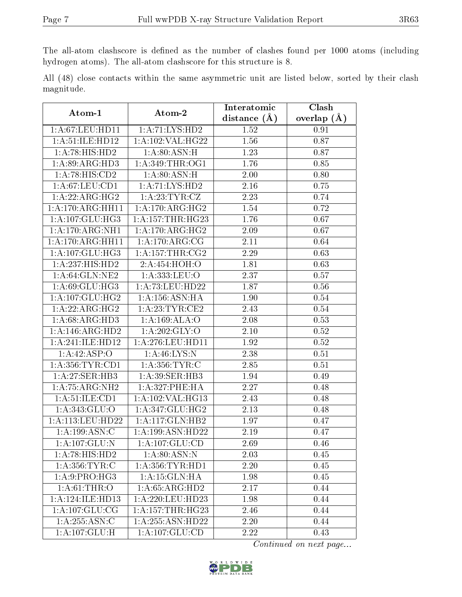The all-atom clashscore is defined as the number of clashes found per 1000 atoms (including hydrogen atoms). The all-atom clashscore for this structure is 8.

All (48) close contacts within the same asymmetric unit are listed below, sorted by their clash magnitude.

| Atom-1              | Atom-2                      | Interatomic       | Clash         |  |
|---------------------|-----------------------------|-------------------|---------------|--|
|                     |                             | distance $(A)$    | overlap $(A)$ |  |
| 1: A:67:LEU:HD11    | 1:A:71:LYS:HD2              | 1.52              | 0.91          |  |
| 1: A:51: ILE: HD12  | 1: A: 102: VAL: HG22        | 1.56              | 0.87          |  |
| 1:A:78:HIS:HD2      | 1: A:80: ASN:H              | 1.23              | 0.87          |  |
| 1: A:89: ARG:HD3    | 1: A:349:THR:OG1            | 1.76              | 0.85          |  |
| 1:A:78:HIS:CD2      | 1: A:80: ASN:H              | 2.00              | 0.80          |  |
| 1: A:67:LEU:CD1     | 1:A:71:LYS:HD2              | 2.16              | 0.75          |  |
| 1:A:22:ARG:HG2      | 1:A:23:TYR:CZ               | 2.23              | 0.74          |  |
| 1:A:170:ARG:HH11    | 1: A:170:ARG:HG2            | 1.54              | 0.72          |  |
| 1:A:107:GLU:HG3     | 1: A: 157: THR: HG23        | 1.76              | 0.67          |  |
| 1:A:170:ARG:NH1     | 1: A:170:ARG:HG2            | 2.09              | 0.67          |  |
| 1:A:170:ARG:HH11    | $1:A:170:ARG:\overline{CG}$ | 2.11              | 0.64          |  |
| 1:A:107:GLU:HG3     | 1: A:157:THR:CG2            | 2.29              | 0.63          |  |
| 1:A:237:HIS:HD2     | 2:A:454:HOH:O               | 1.81              | 0.63          |  |
| 1: A:64: GLN:NE2    | 1: A: 333: LEU: O           | 2.37              | 0.57          |  |
| 1: A:69: GLU:HG3    | 1:A:73:LEU:HD22             | 1.87              | 0.56          |  |
| 1: A: 107: GLU: HG2 | 1:A:156:ASN:HA              | 1.90              | $0.54\,$      |  |
| 1:A:22:ARG:HG2      | 1:A:23:TYR:CE2              | 2.43              | $0.54\,$      |  |
| 1: A:68: ARG:HD3    | 1:A:169:ALA:O               | 2.08              | 0.53          |  |
| 1:A:146:ARG:HD2     | 1:A:202:GLY:O               | $2.10\,$          | 0.52          |  |
| 1:A:241:ILE:HD12    | 1: A:276:LEU:HD11           | 1.92              | 0.52          |  |
| 1:A:42:ASP:O        | 1: A:46: LYS: N             | 2.38              | $0.51\,$      |  |
| 1: A: 356: TYR: CD1 | 1: A:356: TYR: C            | 2.85              | 0.51          |  |
| 1:A:27:SER:HB3      | 1:A:39:SER:HB3              | 1.94              | 0.49          |  |
| 1:A:75:ARG:NH2      | 1:A:327:PHE:HA              | 2.27              | 0.48          |  |
| 1: A:51: ILE: CD1   | 1:A:102:VAL:HG13            | 2.43              | 0.48          |  |
| 1:A:343:GLU:O       | 1:A:347:GLU:HG2             | 2.13              | 0.48          |  |
| 1:A:113:LEU:HD22    | 1:A:117:GLN:HB2             | 1.97              | 0.47          |  |
| 1: A: 199: ASN: C   | 1:A:199:ASN:HD22            | 2.19              | 0.47          |  |
| 1: A: 107: GLU:N    | 1:A:107:GLU:CD              | 2.69              | 0.46          |  |
| 1: A:78: HIS: HD2   | 1: A:80: ASN: N             | 2.03              | 0.45          |  |
| 1: A: 356: TYR: C   | 1: A: 356: TYR: HD1         | 2.20              | 0.45          |  |
| 1:A:9:PRO:HG3       | 1:A:15:GLN:HA               | 1.98              | 0.45          |  |
| 1: A:61:THR:O       | 1: A:65: ARG:HD2            | 2.17              | 0.44          |  |
| 1:A:124:ILE:HD13    | 1:A:220:LEU:HD23            | 1.98              | 0.44          |  |
| 1: A:107: GLU:CG    | 1: A: 157: THR: HG23        | 2.46              | 0.44          |  |
| 1: A:255: ASN:C     | 1:A:255:ASN:HD22            | $\overline{2.20}$ | 0.44          |  |
| 1:A:107:GLU:H       | 1:A:107:GLU:CD              | 2.22              | 0.43          |  |

Continued on next page...

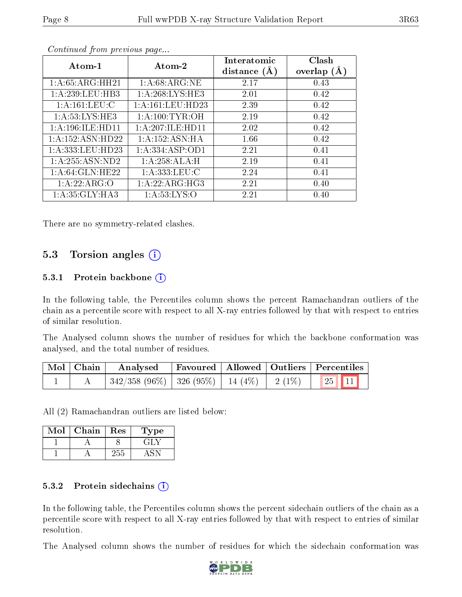| Atom-1               | Atom-2             | Interatomic<br>distance $(A)$ | Clash<br>overlap $(A)$ |
|----------------------|--------------------|-------------------------------|------------------------|
| 1: A:65: ARG:HH21    | 1: A:68:ARG:NE     | 2.17                          | 0.43                   |
| 1:A:239:LEU:HB3      | 1: A:268:LYS:HE3   | 2.01                          | 0.42                   |
| 1: A:161:LEU: C      | 1:A:161:LEU:HD23   | 2.39                          | 0.42                   |
| 1: A:53:LYS:HE3      | 1: A:100:TYR:OH    | 2.19                          | 0.42                   |
| 1: A:196: ILE: HD11  | 1:A:207:ILE:HD11   | 2.02                          | 0.42                   |
| 1: A: 152: ASN: HD22 | 1:A:152:ASN:HA     | 1.66                          | 0.42                   |
| 1:A:333:LEU:HD23     | 1: A: 334: ASP:OD1 | 2.21                          | 0.41                   |
| 1: A: 255: ASN: ND2  | 1:A:258:ALA:H      | 2.19                          | 0.41                   |
| 1: A:64: GLN: HE22   | 1: A: 333: LEU: C  | 2.24                          | 0.41                   |
| 1:A:22:ARG:O         | 1: A:22: ARG:HG3   | 2.21                          | 0.40                   |
| 1: A:35: GLY:HA3     | 1: A:53: LYS:O     | 2.21                          | 0.40                   |

Continued from previous page...

There are no symmetry-related clashes.

#### 5.3 Torsion angles (i)

#### 5.3.1 Protein backbone  $(i)$

In the following table, the Percentiles column shows the percent Ramachandran outliers of the chain as a percentile score with respect to all X-ray entries followed by that with respect to entries of similar resolution.

The Analysed column shows the number of residues for which the backbone conformation was analysed, and the total number of residues.

| Mol   Chain | Analysed                                                      |  | Favoured   Allowed   Outliers   Percentiles |
|-------------|---------------------------------------------------------------|--|---------------------------------------------|
|             | $\mid$ 342/358 (96%)   326 (95%)   14 (4%)   2 (1%)   25   11 |  |                                             |

All (2) Ramachandran outliers are listed below:

| Mol | Chain | Res | Type |
|-----|-------|-----|------|
|     |       |     | エコレン |
|     |       | 255 |      |

#### 5.3.2 Protein sidechains  $(i)$

In the following table, the Percentiles column shows the percent sidechain outliers of the chain as a percentile score with respect to all X-ray entries followed by that with respect to entries of similar resolution.

The Analysed column shows the number of residues for which the sidechain conformation was

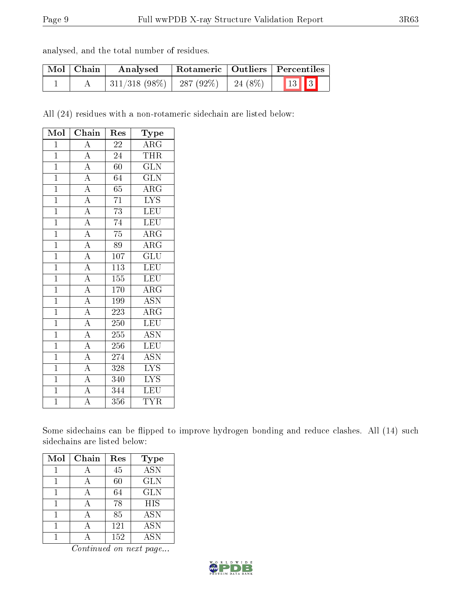| analysed, and the total number of residues. |  |  |  |
|---------------------------------------------|--|--|--|
|                                             |  |  |  |

| Mol   Chain | Analysed                         |          | Rotameric   Outliers   Percentiles |  |
|-------------|----------------------------------|----------|------------------------------------|--|
|             | $\mid$ 311/318 (98%)   287 (92%) | 24 (8\%) | $\boxed{13}$ $\boxed{3}$           |  |

All (24) residues with a non-rotameric sidechain are listed below:

| Mol            | Chain                                                                                                                                           | Res              | Type                    |
|----------------|-------------------------------------------------------------------------------------------------------------------------------------------------|------------------|-------------------------|
| $\mathbf{1}$   | $\overline{A}$                                                                                                                                  | $\overline{22}$  | $\overline{\rm{ARG}}$   |
| $\overline{1}$ |                                                                                                                                                 | 24               | <b>THR</b>              |
| $\overline{1}$ |                                                                                                                                                 | $\overline{60}$  | $\overline{\text{GLN}}$ |
| $\mathbf{1}$   |                                                                                                                                                 | 64               | $\rm G\overline{LN}$    |
| $\overline{1}$ |                                                                                                                                                 | $\overline{65}$  | $\overline{\rm{ARG}}$   |
| $\overline{1}$ |                                                                                                                                                 | $\overline{71}$  | $\overline{\text{LYS}}$ |
| $\overline{1}$ |                                                                                                                                                 | $\overline{73}$  | $\overline{\text{LEU}}$ |
| $\overline{1}$ |                                                                                                                                                 | $\overline{74}$  | LEU                     |
| $\mathbf{1}$   | $\frac{\frac{1}{\sqrt{A}}}{\frac{A}{A}} \frac{\frac{A}{A}}{\frac{A}{A}}}{\frac{A}{A}}$                                                          | $\overline{75}$  | $\rm{ARG}$              |
| $\overline{1}$ |                                                                                                                                                 | $\overline{89}$  | $\overline{\rm{ARG}}$   |
| $\overline{1}$ |                                                                                                                                                 | 107              | $\overline{\text{GLU}}$ |
| $\mathbf{1}$   | $\frac{\overline{A}}{\overline{A}}$ $\frac{\overline{A}}{\overline{A}}$ $\frac{\overline{A}}{\overline{A}}$ $\frac{\overline{A}}{\overline{A}}$ | $\overline{113}$ | LEU                     |
| $\overline{1}$ |                                                                                                                                                 | 155              | <b>LEU</b>              |
| $\mathbf{1}$   |                                                                                                                                                 | 170              | $\rm{ARG}$              |
| $\overline{1}$ |                                                                                                                                                 | 199              | $\overline{\text{ASN}}$ |
| $\mathbf{1}$   |                                                                                                                                                 | 223              | $\rm{ARG}$              |
| $\mathbf{1}$   |                                                                                                                                                 | 250              | LEU                     |
| $\mathbf{1}$   |                                                                                                                                                 | 255              | <b>ASN</b>              |
| $\mathbf{1}$   |                                                                                                                                                 | 256              | LEU                     |
| $\overline{1}$ | $\frac{A}{A}$                                                                                                                                   | 274              | $\overline{\text{ASN}}$ |
| $\mathbf{1}$   |                                                                                                                                                 | 328              | $\overline{\text{LYS}}$ |
| $\overline{1}$ | $\frac{1}{\text{A}}$                                                                                                                            | 340              | $\overline{\text{LYS}}$ |
| $\overline{1}$ |                                                                                                                                                 | 344              | $\overline{\text{LEU}}$ |
| $\mathbf{1}$   | $\overline{\rm A}$                                                                                                                              | 356              | <b>TYR</b>              |

Some sidechains can be flipped to improve hydrogen bonding and reduce clashes. All (14) such sidechains are listed below:

| Mol | Chain | Res | <b>Type</b> |
|-----|-------|-----|-------------|
|     |       | 45  | <b>ASN</b>  |
|     |       | 60  | <b>GLN</b>  |
|     |       | 64  | <b>GLN</b>  |
|     |       | 78  | <b>HIS</b>  |
|     |       | 85  | <b>ASN</b>  |
|     |       | 121 | ASN         |
|     |       | 152 | ASN         |

Continued on next page...

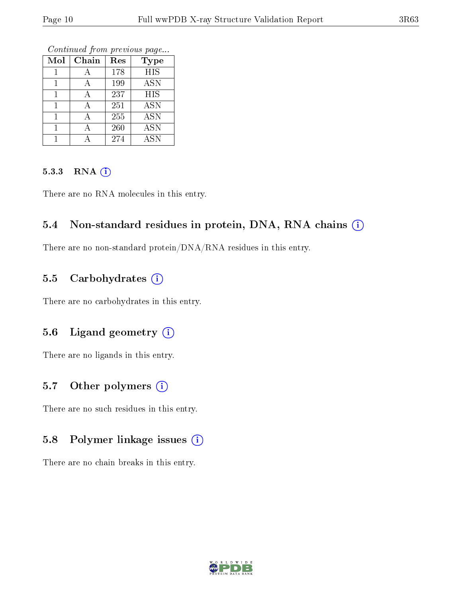Continued from previous page...

| Mol | Chain | Res | <b>Type</b> |
|-----|-------|-----|-------------|
|     |       | 178 | <b>HIS</b>  |
|     |       | 199 | <b>ASN</b>  |
|     |       | 237 | <b>HIS</b>  |
|     |       | 251 | <b>ASN</b>  |
|     |       | 255 | <b>ASN</b>  |
|     |       | 260 | <b>ASN</b>  |
|     |       | 274 | <b>ASN</b>  |

#### 5.3.3 RNA [O](https://www.wwpdb.org/validation/2017/XrayValidationReportHelp#rna)i

There are no RNA molecules in this entry.

#### 5.4 Non-standard residues in protein, DNA, RNA chains (i)

There are no non-standard protein/DNA/RNA residues in this entry.

#### 5.5 Carbohydrates (i)

There are no carbohydrates in this entry.

#### 5.6 Ligand geometry (i)

There are no ligands in this entry.

#### 5.7 [O](https://www.wwpdb.org/validation/2017/XrayValidationReportHelp#nonstandard_residues_and_ligands)ther polymers  $(i)$

There are no such residues in this entry.

#### 5.8 Polymer linkage issues (i)

There are no chain breaks in this entry.

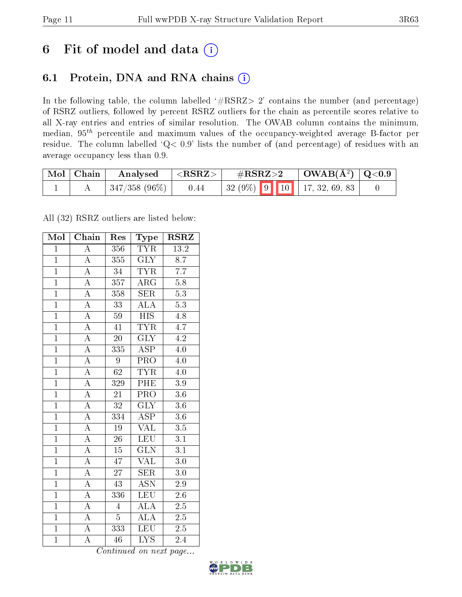## 6 Fit of model and data  $(i)$

### 6.1 Protein, DNA and RNA chains  $(i)$

In the following table, the column labelled  $#RSRZ> 2'$  contains the number (and percentage) of RSRZ outliers, followed by percent RSRZ outliers for the chain as percentile scores relative to all X-ray entries and entries of similar resolution. The OWAB column contains the minimum, median,  $95<sup>th</sup>$  percentile and maximum values of the occupancy-weighted average B-factor per residue. The column labelled ' $Q< 0.9$ ' lists the number of (and percentage) of residues with an average occupancy less than 0.9.

| $\text{Mol} \mid \text{Chain}$ | Analysed             | ${ <\hspace{-1.5pt}{\mathrm{RSRZ}} \hspace{-1.5pt}>}$ | $\#\text{RSRZ}\text{>2}$          | $\vert$ OWAB(Å <sup>2</sup> ) $\vert$ Q<0.9 |  |
|--------------------------------|----------------------|-------------------------------------------------------|-----------------------------------|---------------------------------------------|--|
|                                | $\pm$ 347/358 (96%). | 0.44                                                  | 32 (9%)   9   10   17, 32, 69, 83 |                                             |  |

All (32) RSRZ outliers are listed below:

| Mol            | Chain              | Res             | Type                      | <b>RSRZ</b>       |
|----------------|--------------------|-----------------|---------------------------|-------------------|
| $\mathbf{1}$   | $\overline{\rm A}$ | 356             | <b>TYR</b>                | $\overline{13.2}$ |
| $\overline{1}$ | $\overline{A}$     | 355             | $\overline{\text{GLY}}$   | $\overline{8.7}$  |
| $\overline{1}$ | $\overline{A}$     | $\overline{34}$ | <b>TYR</b>                | $\overline{7.7}$  |
| $\overline{1}$ | $\overline{\rm A}$ | 357             | ARG                       | 5.8               |
| $\overline{1}$ | $\overline{A}$     | 358             | $\overline{\text{SER}}$   | $\overline{5.3}$  |
| $\overline{1}$ | $\overline{A}$     | $\overline{33}$ | ALA                       | $\overline{5.3}$  |
| $\overline{1}$ | $\overline{A}$     | 59              | $\overline{\mathrm{HIS}}$ | 4.8               |
| $\overline{1}$ | $\overline{A}$     | 41              | <b>TYR</b>                | 4.7               |
| $\mathbf{1}$   | $\overline{A}$     | $\overline{20}$ | $\overline{\text{GLY}}$   | $\overline{4.2}$  |
| $\overline{1}$ | $\overline{A}$     | 335             | $\overline{\text{ASP}}$   | $\overline{4.0}$  |
| $\overline{1}$ | $\overline{A}$     | 9               | $\overline{\text{PRO}}$   | $4.0\,$           |
| $\overline{1}$ | $\overline{\rm A}$ | $\overline{62}$ | <b>TYR</b>                | 4.0               |
| $\overline{1}$ | $\overline{A}$     | 329             | PHE                       | $3.9\,$           |
| $\overline{1}$ | $\overline{\rm A}$ | $\overline{21}$ | $\overline{\text{PRO}}$   | $3.6\,$           |
| $\overline{1}$ | $\overline{\rm A}$ | $\overline{32}$ | $\overline{\text{GLY}}$   | $\overline{3.6}$  |
| $\overline{1}$ | $\overline{A}$     | 334             | <b>ASP</b>                | $3.6\,$           |
| $\overline{1}$ | $\overline{A}$     | $\overline{19}$ | $\overline{\text{VAL}}$   | $\overline{3.5}$  |
| $\overline{1}$ | $\overline{A}$     | $\overline{26}$ | LEU                       | $\overline{3.1}$  |
| $\overline{1}$ | $\overline{A}$     | $\overline{15}$ | $\overline{\text{GLN}}$   | $\overline{3.1}$  |
| $\overline{1}$ | $\overline{\rm A}$ | 47              | $\rm V\overline{AL}$      | $\overline{3.0}$  |
| $\overline{1}$ | $\overline{A}$     | $2\overline{7}$ | <b>SER</b>                | 3.0               |
| $\overline{1}$ | $\overline{A}$     | $\overline{43}$ | $\overline{\text{ASN}}$   | $\overline{2.9}$  |
| $\overline{1}$ | $\overline{\rm A}$ | 336             | $\overline{\text{LEU}}$   | 2.6               |
| $\overline{1}$ | $\overline{\rm A}$ | $\overline{4}$  | $\overline{\rm ALA}$      | $\overline{2.5}$  |
| $\overline{1}$ | $\overline{A}$     | $\overline{5}$  | $\overline{\rm ALA}$      | $2.5\,$           |
| $\mathbf{1}$   | A                  | 333             | $\overline{\text{LEU}}$   | $2.5\,$           |
| $\overline{1}$ | $\overline{\rm A}$ | $\overline{46}$ | $\overline{\mathrm{LYS}}$ | 2.4               |

Continued on next page...